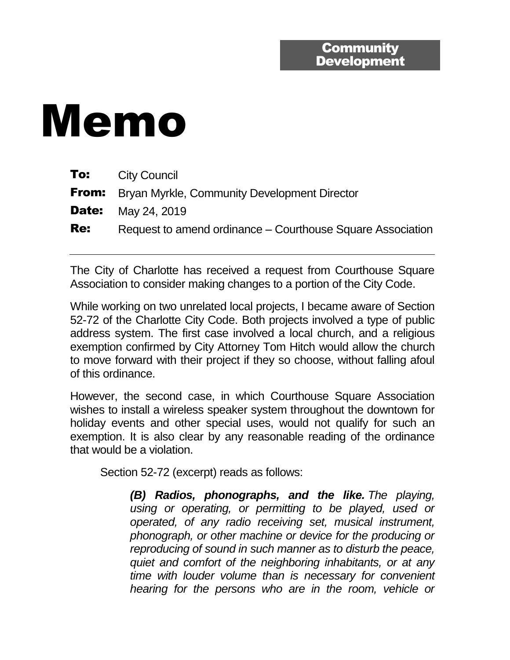## Memo

| To:        | <b>City Council</b>                                        |
|------------|------------------------------------------------------------|
|            | <b>From:</b> Bryan Myrkle, Community Development Director  |
|            | <b>Date:</b> May 24, 2019                                  |
| <b>Re:</b> | Request to amend ordinance – Courthouse Square Association |

The City of Charlotte has received a request from Courthouse Square Association to consider making changes to a portion of the City Code.

While working on two unrelated local projects, I became aware of Section 52-72 of the Charlotte City Code. Both projects involved a type of public address system. The first case involved a local church, and a religious exemption confirmed by City Attorney Tom Hitch would allow the church to move forward with their project if they so choose, without falling afoul of this ordinance.

However, the second case, in which Courthouse Square Association wishes to install a wireless speaker system throughout the downtown for holiday events and other special uses, would not qualify for such an exemption. It is also clear by any reasonable reading of the ordinance that would be a violation.

Section 52-72 (excerpt) reads as follows:

*(B) Radios, phonographs, and the like. The playing, using or operating, or permitting to be played, used or operated, of any radio receiving set, musical instrument, phonograph, or other machine or device for the producing or reproducing of sound in such manner as to disturb the peace, quiet and comfort of the neighboring inhabitants, or at any time with louder volume than is necessary for convenient hearing for the persons who are in the room, vehicle or*